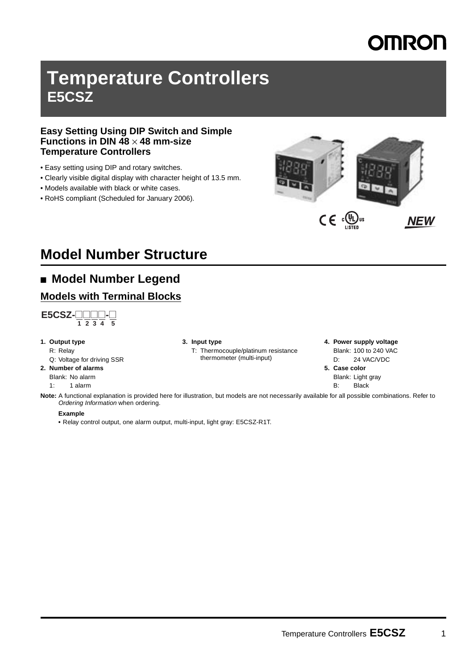# MRON

# **Temperature Controllers E5CSZ**

#### **Easy Setting Using DIP Switch and Simple Functions in DIN 48** × **48 mm-size Temperature Controllers**

- Easy setting using DIP and rotary switches.
- Clearly visible digital display with character height of 13.5 mm.
- Models available with black or white cases.
- RoHS compliant (Scheduled for January 2006).



# **Model Number Structure**

# ■ **Model Number Legend**

### **Models with Terminal Blocks**



- **1. Output type**
	- R: Relay
	- Q: Voltage for driving SSR

#### **2. Number of alarms**

Blank: No alarm

1: 1 alarm

#### **3. Input type**

T: Thermocouple/platinum resistance thermometer (multi-input)

#### **4. Power supply voltage** Blank: 100 to 240 VAC

- D: 24 VAC/VDC **5. Case color**
	- Blank: Light gray B: Black

**Note:** A functional explanation is provided here for illustration, but models are not necessarily available for all possible combinations. Refer to *Ordering Information* when ordering.

#### **Example**

**•** Relay control output, one alarm output, multi-input, light gray: E5CSZ-R1T.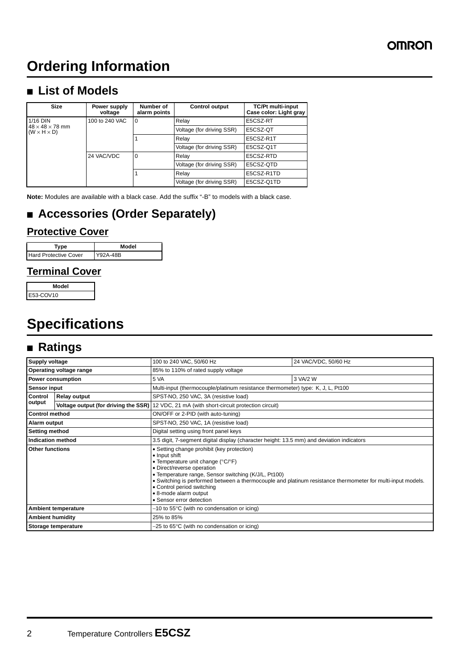# **Ordering Information**

# ■ **List of Models**

| <b>Size</b>                                            | Power supply<br>voltage | Number of<br>alarm points | <b>Control output</b>     | <b>TC/Pt multi-input</b><br>Case color: Light gray |
|--------------------------------------------------------|-------------------------|---------------------------|---------------------------|----------------------------------------------------|
| 1/16 DIN<br>100 to 240 VAC<br>0                        |                         |                           | Relay                     | E5CSZ-RT                                           |
| $48 \times 48 \times 78$ mm<br>$(W \times H \times D)$ |                         |                           | Voltage (for driving SSR) | E5CSZ-QT                                           |
|                                                        |                         |                           | Relay                     | E5CSZ-R1T                                          |
|                                                        |                         |                           | Voltage (for driving SSR) | E5CSZ-Q1T                                          |
|                                                        | 24 VAC/VDC              | $\Omega$                  | Relay                     | E5CSZ-RTD                                          |
|                                                        |                         |                           | Voltage (for driving SSR) | E5CSZ-QTD                                          |
|                                                        |                         |                           | Relay                     | E5CSZ-R1TD                                         |
|                                                        |                         |                           | Voltage (for driving SSR) | E5CSZ-Q1TD                                         |

**Note:** Modules are available with a black case. Add the suffix "-B" to models with a black case.

# ■ **Accessories (Order Separately)**

### **Protective Cover**

| Tvpe                         | Model    |  |  |
|------------------------------|----------|--|--|
| <b>Hard Protective Cover</b> | Y92A-48B |  |  |

### **Terminal Cover**

| Model     |
|-----------|
| E53-COV10 |

# **Specifications**

# ■ **Ratings**

| <b>Supply voltage</b>      |                         | 100 to 240 VAC, 50/60 Hz                                                                                                                                                                                                                                                                                                                                                                                       | 24 VAC/VDC, 50/60 Hz |  |  |  |
|----------------------------|-------------------------|----------------------------------------------------------------------------------------------------------------------------------------------------------------------------------------------------------------------------------------------------------------------------------------------------------------------------------------------------------------------------------------------------------------|----------------------|--|--|--|
|                            | Operating voltage range | 85% to 110% of rated supply voltage                                                                                                                                                                                                                                                                                                                                                                            |                      |  |  |  |
|                            | Power consumption       | 5 VA                                                                                                                                                                                                                                                                                                                                                                                                           | 3 VA/2 W             |  |  |  |
| <b>Sensor input</b>        |                         | Multi-input (thermocouple/platinum resistance thermometer) type: K, J, L, Pt100                                                                                                                                                                                                                                                                                                                                |                      |  |  |  |
| Control                    | <b>Relay output</b>     | SPST-NO, 250 VAC, 3A (resistive load)                                                                                                                                                                                                                                                                                                                                                                          |                      |  |  |  |
| output                     |                         | Voltage output (for driving the SSR) 12 VDC, 21 mA (with short-circuit protection circuit)                                                                                                                                                                                                                                                                                                                     |                      |  |  |  |
| <b>Control method</b>      |                         | ON/OFF or 2-PID (with auto-tuning)                                                                                                                                                                                                                                                                                                                                                                             |                      |  |  |  |
| Alarm output               |                         | SPST-NO, 250 VAC, 1A (resistive load)                                                                                                                                                                                                                                                                                                                                                                          |                      |  |  |  |
| <b>Setting method</b>      |                         | Digital setting using front panel keys                                                                                                                                                                                                                                                                                                                                                                         |                      |  |  |  |
| Indication method          |                         | 3.5 digit, 7-segment digital display (character height: 13.5 mm) and deviation indicators                                                                                                                                                                                                                                                                                                                      |                      |  |  |  |
| <b>Other functions</b>     |                         | • Setting change prohibit (key protection)<br>• Input shift<br>• Temperature unit change ( $^{\circ}$ C/ $^{\circ}$ F)<br>• Direct/reverse operation<br>• Temperature range, Sensor switching (K/J/L, Pt100)<br>. Switching is performed between a thermocouple and platinum resistance thermometer for multi-input models.<br>• Control period switching<br>• 8-mode alarm output<br>• Sensor error detection |                      |  |  |  |
| <b>Ambient temperature</b> |                         | -10 to 55°C (with no condensation or icing)                                                                                                                                                                                                                                                                                                                                                                    |                      |  |  |  |
| <b>Ambient humidity</b>    |                         | 25% to 85%                                                                                                                                                                                                                                                                                                                                                                                                     |                      |  |  |  |
| Storage temperature        |                         | $-25$ to 65 $\degree$ C (with no condensation or icing)                                                                                                                                                                                                                                                                                                                                                        |                      |  |  |  |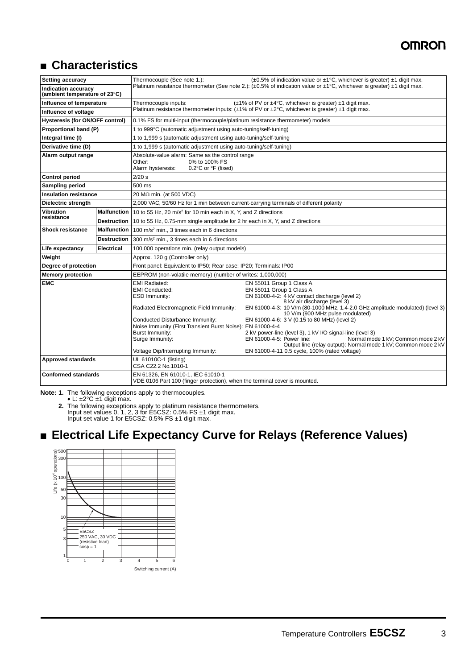# ■ **Characteristics**

| <b>Setting accuracy</b>                              |                    | Thermocouple (See note 1.):                                                                                                                                                                                                                                                             | $(\pm 0.5\%$ of indication value or $\pm 1\degree$ C, whichever is greater) $\pm 1$ digit max.                                                                                                                                                                                                                                                                                                                                                                                                                                                                 |  |  |  |
|------------------------------------------------------|--------------------|-----------------------------------------------------------------------------------------------------------------------------------------------------------------------------------------------------------------------------------------------------------------------------------------|----------------------------------------------------------------------------------------------------------------------------------------------------------------------------------------------------------------------------------------------------------------------------------------------------------------------------------------------------------------------------------------------------------------------------------------------------------------------------------------------------------------------------------------------------------------|--|--|--|
| Indication accuracy<br>(ambient temperature of 23°C) |                    |                                                                                                                                                                                                                                                                                         | Platinum resistance thermometer (See note 2.): $(\pm 0.5\%$ of indication value or $\pm 1\degree$ C, whichever is greater) $\pm 1$ digit max.                                                                                                                                                                                                                                                                                                                                                                                                                  |  |  |  |
| Influence of temperature                             |                    | Thermocouple inputs:                                                                                                                                                                                                                                                                    | $(\pm 1\%$ of PV or $\pm 4^{\circ}$ C, whichever is greater) $\pm 1$ digit max.                                                                                                                                                                                                                                                                                                                                                                                                                                                                                |  |  |  |
| Influence of voltage                                 |                    | Platinum resistance thermometer inputs: $(\pm 1\% \text{ of PV or } \pm 2\degree C, \text{ whichever is greater}) \pm 1$ digit max.                                                                                                                                                     |                                                                                                                                                                                                                                                                                                                                                                                                                                                                                                                                                                |  |  |  |
| Hysteresis (for ON/OFF control)                      |                    | 0.1% FS for multi-input (thermocouple/platinum resistance thermometer) models                                                                                                                                                                                                           |                                                                                                                                                                                                                                                                                                                                                                                                                                                                                                                                                                |  |  |  |
| Proportional band (P)                                |                    | 1 to 999°C (automatic adjustment using auto-tuning/self-tuning)                                                                                                                                                                                                                         |                                                                                                                                                                                                                                                                                                                                                                                                                                                                                                                                                                |  |  |  |
| Integral time (I)                                    |                    | 1 to 1,999 s (automatic adjustment using auto-tuning/self-tuning                                                                                                                                                                                                                        |                                                                                                                                                                                                                                                                                                                                                                                                                                                                                                                                                                |  |  |  |
| Derivative time (D)                                  |                    | 1 to 1,999 s (automatic adjustment using auto-tuning/self-tuning)                                                                                                                                                                                                                       |                                                                                                                                                                                                                                                                                                                                                                                                                                                                                                                                                                |  |  |  |
| Alarm output range                                   |                    | Absolute-value alarm: Same as the control range<br>Other:<br>0% to 100% FS<br>0.2°C or °F (fixed)<br>Alarm hysteresis:                                                                                                                                                                  |                                                                                                                                                                                                                                                                                                                                                                                                                                                                                                                                                                |  |  |  |
| <b>Control period</b>                                |                    | $2/20$ s                                                                                                                                                                                                                                                                                |                                                                                                                                                                                                                                                                                                                                                                                                                                                                                                                                                                |  |  |  |
| <b>Sampling period</b>                               |                    | 500 ms                                                                                                                                                                                                                                                                                  |                                                                                                                                                                                                                                                                                                                                                                                                                                                                                                                                                                |  |  |  |
| <b>Insulation resistance</b>                         |                    | 20 M $\Omega$ min. (at 500 VDC)                                                                                                                                                                                                                                                         |                                                                                                                                                                                                                                                                                                                                                                                                                                                                                                                                                                |  |  |  |
| Dielectric strength                                  |                    | 2,000 VAC, 50/60 Hz for 1 min between current-carrying terminals of different polarity                                                                                                                                                                                                  |                                                                                                                                                                                                                                                                                                                                                                                                                                                                                                                                                                |  |  |  |
| Vibration                                            |                    | Malfunction   10 to 55 Hz, 20 m/s <sup>2</sup> for 10 min each in X, Y, and Z directions                                                                                                                                                                                                |                                                                                                                                                                                                                                                                                                                                                                                                                                                                                                                                                                |  |  |  |
| resistance                                           | <b>Destruction</b> | 10 to 55 Hz, 0.75-mm single amplitude for 2 hr each in X, Y, and Z directions                                                                                                                                                                                                           |                                                                                                                                                                                                                                                                                                                                                                                                                                                                                                                                                                |  |  |  |
| <b>Shock resistance</b>                              | <b>Malfunction</b> | 100 m/s <sup>2</sup> min., 3 times each in 6 directions                                                                                                                                                                                                                                 |                                                                                                                                                                                                                                                                                                                                                                                                                                                                                                                                                                |  |  |  |
|                                                      | <b>Destruction</b> | 300 m/s <sup>2</sup> min., 3 times each in 6 directions                                                                                                                                                                                                                                 |                                                                                                                                                                                                                                                                                                                                                                                                                                                                                                                                                                |  |  |  |
| Life expectancy<br><b>Electrical</b>                 |                    | 100,000 operations min. (relay output models)                                                                                                                                                                                                                                           |                                                                                                                                                                                                                                                                                                                                                                                                                                                                                                                                                                |  |  |  |
| Weight                                               |                    | Approx. 120 g (Controller only)                                                                                                                                                                                                                                                         |                                                                                                                                                                                                                                                                                                                                                                                                                                                                                                                                                                |  |  |  |
| Degree of protection                                 |                    | Front panel: Equivalent to IP50; Rear case: IP20; Terminals: IP00                                                                                                                                                                                                                       |                                                                                                                                                                                                                                                                                                                                                                                                                                                                                                                                                                |  |  |  |
| <b>Memory protection</b>                             |                    | EEPROM (non-volatile memory) (number of writes: 1,000,000)                                                                                                                                                                                                                              |                                                                                                                                                                                                                                                                                                                                                                                                                                                                                                                                                                |  |  |  |
| <b>EMC</b>                                           |                    | <b>EMI Radiated:</b><br><b>EMI Conducted:</b><br>ESD Immunity:<br>Radiated Electromagnetic Field Immunity:<br>Conducted Disturbance Immunity:<br>Noise Immunity (First Transient Burst Noise): EN 61000-4-4<br>Burst Immunity:<br>Surge Immunity:<br>Voltage Dip/Interrupting Immunity: | EN 55011 Group 1 Class A<br>EN 55011 Group 1 Class A<br>EN 61000-4-2: 4 kV contact discharge (level 2)<br>8 kV air discharge (level 3)<br>EN 61000-4-3: 10 V/m (80-1000 MHz, 1.4-2.0 GHz amplitude modulated) (level 3)<br>10 V/m (900 MHz pulse modulated)<br>EN 61000-4-6: 3 V (0.15 to 80 MHz) (level 2)<br>2 kV power-line (level 3), 1 kV I/O signal-line (level 3)<br>Normal mode 1 kV; Common mode 2 kV<br>EN 61000-4-5: Power line:<br>Output line (relay output): Normal mode 1 kV; Common mode 2 kV<br>EN 61000-4-11 0.5 cycle, 100% (rated voltage) |  |  |  |
| <b>Approved standards</b>                            |                    | UL 61010C-1 (listing)<br>CSA C22.2 No.1010-1                                                                                                                                                                                                                                            |                                                                                                                                                                                                                                                                                                                                                                                                                                                                                                                                                                |  |  |  |
| <b>Conformed standards</b>                           |                    | EN 61326, EN 61010-1, IEC 61010-1<br>VDE 0106 Part 100 (finger protection), when the terminal cover is mounted.                                                                                                                                                                         |                                                                                                                                                                                                                                                                                                                                                                                                                                                                                                                                                                |  |  |  |

**Note: 1.** The following exceptions apply to thermocouples.

• L: ±2°C ±1 digit max.

**2.** The following exceptions apply to platinum resistance thermometers. Input set values 0, 1, 2, 3 for E5CSZ: 0.5% FS ±1 digit max. Input set value 1 for E5CSZ: 0.5% FS ±1 digit max.

# ■ **Electrical Life Expectancy Curve for Relays (Reference Values)**

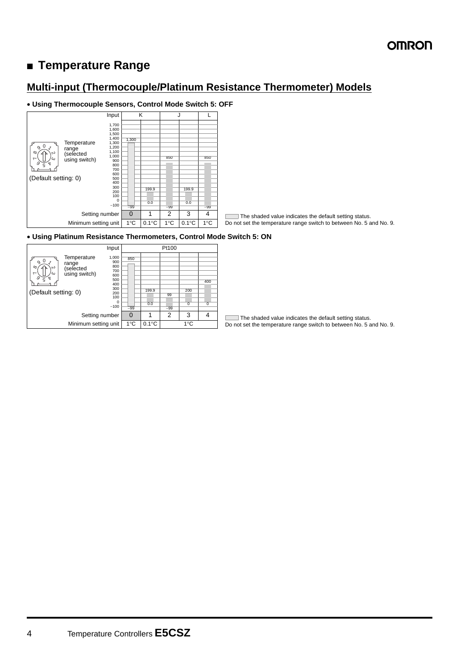# ■ **Temperature Range**

### **Multi-input (Thermocouple/Platinum Resistance Thermometer) Models**

#### • **Using Thermocouple Sensors, Control Mode Switch 5: OFF**



The shaded value indicates the default setting status. Do not set the temperature range switch to between No. 5 and No. 9.

#### • **Using Platinum Resistance Thermometers, Control Mode Switch 5: ON**



The shaded value indicates the default setting status. Г Do not set the temperature range switch to between No. 5 and No. 9.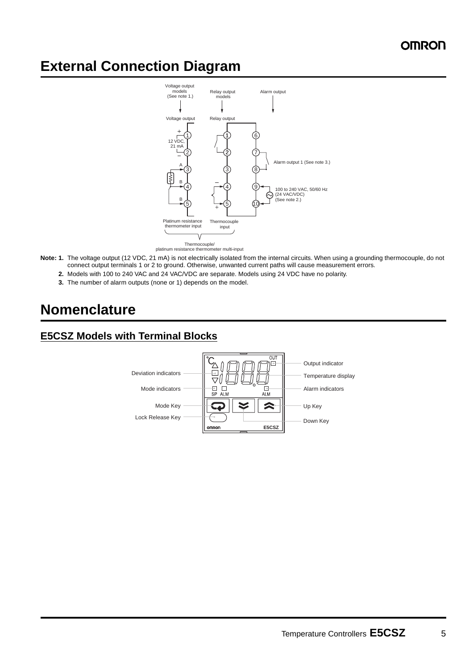# **External Connection Diagram**



- **Note: 1.** The voltage output (12 VDC, 21 mA) is not electrically isolated from the internal circuits. When using a grounding thermocouple, do not connect output terminals 1 or 2 to ground. Otherwise, unwanted current paths will cause measurement errors.
	- **2.** Models with 100 to 240 VAC and 24 VAC/VDC are separate. Models using 24 VDC have no polarity.
	- **3.** The number of alarm outputs (none or 1) depends on the model.

# **Nomenclature**

### **E5CSZ Models with Terminal Blocks**

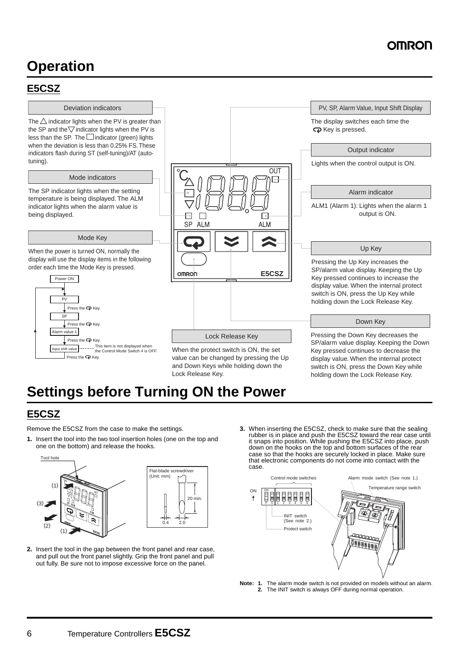# **Operation**

### <span id="page-5-0"></span>**E5CSZ**

#### Deviation indicators

The  $\triangle$  indicator lights when the PV is greater than the SP and the  $\overline{\nabla}$  indicator lights when the PV is less than the SP. The  $\Box$  indicator (green) lights when the deviation is less than 0.25% FS. These indicators flash during ST (self-tuning)/AT (autotuning).

#### Mode indicators

The SP indicator lights when the setting temperature is being displayed. The ALM indicator lights when the alarm value is being displayed.

#### Mode Key

When the power is turned ON, normally the display will use the display items in the following order each time the Mode Key is pressed.





value can be changed by pressing the Up and Down Keys while holding down the Lock Release Key.

SP/alarm value display. Keeping the Down display value. When the internal protect switch is ON, press the Down Key while holding down the Lock Release Key.

# **Settings before Turning ON the Power**

20 min.

### **E5CSZ**

Remove the E5CSZ from the case to make the settings.

**1.** Insert the tool into the two tool insertion holes (one on the top and one on the bottom) and release the hooks.



**2.** Insert the tool in the gap between the front panel and rear case, and pull out the front panel slightly. Grip the front panel and pull out fully. Be sure not to impose excessive force on the panel.

**3.** When inserting the E5CSZ, check to make sure that the sealing rubber is in place and push the E5CSZ toward the rear case until it snaps into position. While pushing the E5CSZ into place, push down on the hooks on the top and bottom surfaces of the rear case so that the hooks are securely locked in place. Make sure that electronic components do not come into contact with the case.



**Note: 1.** The alarm mode switch is not provided on models without an alarm. **2.** The INIT switch is always OFF during normal operation.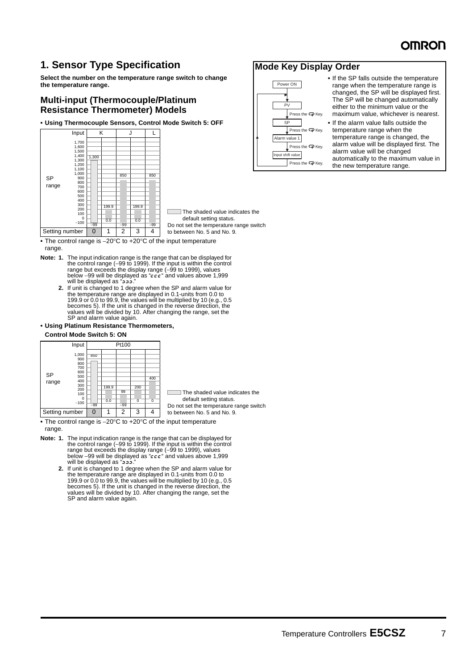### **1. Sensor Type Specification**

**Select the number on the temperature range switch to change the temperature range.**

#### **Multi-input (Thermocouple/Platinum Resistance Thermometer) Models**

**• Using Thermocouple Sensors, Control Mode Switch 5: OFF**



 The shaded value indicates the default setting status. Do not set the temperature range switch to between No. 5 and No. 9.

**•** The control range is −20°C to +20°C of the input temperature range.

- **Note: 1.** The input indication range is the range that can be displayed for the control range (−99 to 1999). If the input is within the control range but exceeds the display range (–99 to 1999), values<br>below –99 will be displayed as "ccc" and values above 1,999 will be displayed as ". دُدد"
	- **2.** If unit is changed to 1 degree when the SP and alarm value for the temperature range are displayed in 0.1-units from 0.0 to 199.9 or 0.0 to 99.9, the values will be multiplied by 10 (e.g., 0.5 becomes 5). If the unit is changed in the reverse direction, the values will be divided by 10. After changing the range, set the SP and alarm value again.

#### **• Using Platinum Resistance Thermometers,**

#### **Control Mode Switch 5: ON**

|                | Input                                                                               |              |              | Pt100       |          |          |
|----------------|-------------------------------------------------------------------------------------|--------------|--------------|-------------|----------|----------|
| SP<br>range    | 1,000<br>900<br>800<br>700<br>600<br>500<br>400<br>300<br>200<br>100<br>0<br>$-100$ | 850<br>$-99$ | 199.9<br>0.0 | 99<br>$-99$ | 200<br>0 | 400<br>0 |
| Setting number |                                                                                     |              |              | 2           | 3        |          |

 $\Box$  The shaded value indicates the default setting status.

Do not set the temperature range switch to between No. 5 and No. 9.

**•** The control range is −20°C to +20°C of the input temperature range.

- **Note: 1.** The input indication range is the range that can be displayed for the control range (−99 to 1999). If the input is within the control range but exceeds the display range (–99 to 1999), values<br>below –99 will be displayed as "ccc" and values above 1,999 will be displayed as ". دُدد"
	- **2.** If unit is changed to 1 degree when the SP and alarm value for the temperature range are displayed in 0.1-units from 0.0 to 199.9 or 0.0 to 99.9, the values will be multiplied by 10 (e.g., 0.5 becomes 5). If the unit is changed in the reverse direction, the values will be divided by 10. After changing the range, set the SP and alarm value again.

#### **Mode Key Display Order**



**•** If the SP falls outside the temperature range when the temperature range is changed, the SP will be displayed first. The SP will be changed automatically either to the minimum value or the maximum value, whichever is nearest.

**•** If the alarm value falls outside the temperature range when the temperature range is changed, the alarm value will be displayed first. The alarm value will be changed automatically to the maximum value in the new temperature range.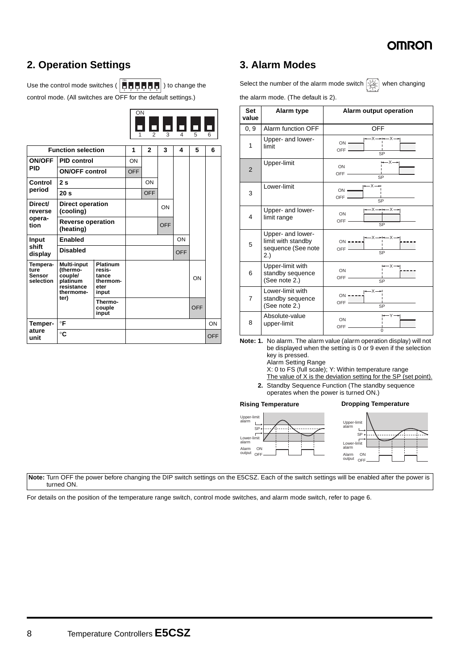

## **2. Operation Settings**

Use the control mode switches (  $\left| \begin{matrix} \rule{0pt}{13pt}\quad\rule{0pt}{12pt}\quad\rule{0pt}{12pt}\quad\rule{0pt}{12pt}\quad\rule{0pt}{12pt}\quad\rule{0pt}{12pt}\quad\rule{0pt}{12pt}\quad\rule{0pt}{12pt}\quad\rule{0pt}{12pt}\quad\rule{0pt}{12pt}\quad\rule{0pt}{12pt}\quad\rule{0pt}{12pt}\quad\rule{0pt}{12pt}\quad\rule{0pt}{12pt}\quad\rule{0pt}{12pt}\quad\rule{0pt}{12pt}\quad\rule{0$ control mode. (All switches are OFF for the default settings.) ON

|                                                |                                                                     |                                                        | ON<br>1    | $\mathfrak{p}$ | 3   | П<br>$\overline{4}$ | 5          | 6          | Set<br>value<br>0, 9 |
|------------------------------------------------|---------------------------------------------------------------------|--------------------------------------------------------|------------|----------------|-----|---------------------|------------|------------|----------------------|
|                                                | <b>Function selection</b>                                           |                                                        | 1          | $\mathbf{2}$   | 3   | 4                   | 5          | 6          | 1                    |
| <b>ON/OFF</b>                                  | <b>PID control</b>                                                  |                                                        | ON         |                |     |                     |            |            |                      |
| <b>PID</b>                                     | <b>ON/OFF control</b>                                               |                                                        | <b>OFF</b> |                |     |                     |            |            | 2                    |
| Control                                        | 2s                                                                  |                                                        |            | ON             |     |                     |            |            |                      |
| period                                         | 20 <sub>s</sub>                                                     |                                                        |            | <b>OFF</b>     |     |                     |            |            | 3                    |
| Direct/<br>reverse                             | <b>Direct operation</b><br>(cooling)                                |                                                        |            |                | ON  |                     |            |            |                      |
| opera-<br>tion                                 | <b>Reverse operation</b><br>(heating)                               |                                                        |            |                | OFF |                     |            |            | 4                    |
| Input                                          | Enabled                                                             |                                                        |            |                |     | ON                  |            |            | 5                    |
| shift<br>display                               | <b>Disabled</b>                                                     |                                                        |            |                |     | <b>OFF</b>          |            |            |                      |
| Tempera-<br>ture<br><b>Sensor</b><br>selection | <b>Multi-input</b><br>(thermo-<br>couple/<br>platinum<br>resistance | <b>Platinum</b><br>resis-<br>tance<br>thermom-<br>eter |            |                |     |                     | ON         |            | 6                    |
|                                                | thermome-<br>ter)                                                   | input                                                  |            |                |     |                     |            |            | $\overline{7}$       |
|                                                |                                                                     | Thermo-<br>couple<br>input                             |            |                |     |                     | <b>OFF</b> |            |                      |
| Temper-                                        | $\circ$ F                                                           |                                                        |            |                |     |                     |            | ON         | 8                    |
| ature<br>unit                                  | $^{\circ}$ C                                                        |                                                        |            |                |     |                     |            | <b>OFF</b> | Note:                |

### **3. Alarm Modes**

Select the number of the alarm mode switch  $\left[\mathring{\mathbb{R}}\right]$  when changing



the alarm mode. (The default is 2).

| <b>Set</b><br>value | Alarm type                                                           | Alarm output operation                                                                                               |
|---------------------|----------------------------------------------------------------------|----------------------------------------------------------------------------------------------------------------------|
| 0, 9                | Alarm function OFF                                                   | <b>OFF</b>                                                                                                           |
| 1                   | Upper- and lower-<br>limit                                           | -x→⊷-x→<br>$ON$ $\longrightarrow$<br>$OFF$ —<br>SP                                                                   |
| $\overline{2}$      | Upper-limit                                                          | –×—<br>ON<br>OFF-<br>$\overline{\text{SP}}$                                                                          |
| 3                   | Lower-limit                                                          | $-x \rightarrow$<br>$ON -$<br>OFF-<br>$\overline{SP}$                                                                |
| 4                   | Upper- and lower-<br>limit range                                     | $\leftarrow$ $x \rightarrow$ $\leftarrow$ $x \rightarrow$<br>ON<br>OFF-<br>SP                                        |
| 5                   | Upper- and lower-<br>limit with standby<br>sequence (See note<br>2.) | $\begin{array}{c}\n\wedge \rightarrow + \rightarrow \searrow - \\ \hline\n\vdots\n\end{array}$<br>$ON$ $---$<br>OFF- |
| 6                   | Upper-limit with<br>standby sequence<br>(See note 2.)                | -х—<br>ON<br>OFF-<br>$\overline{\text{SP}}$                                                                          |
| 7                   | Lower-limit with<br>standby sequence<br>(See note 2.)                | $ON - - -$<br>OFF-<br>SP                                                                                             |
| 8                   | Absolute-value<br>upper-limit                                        | ON<br>OFF-<br>U                                                                                                      |

**Note: 1.** No alarm. The alarm value (alarm operation display) will not be displayed when the setting is 0 or 9 even if the selection key is pressed.

Alarm Setting Range

X: 0 to FS (full scale); Y: Within temperature range

The value of X is the deviation setting for the SP (set point).

**2.** Standby Sequence Function (The standby sequence operates when the power is turned ON.)

**Rising Temperature Dropping Temperature**



**Note:** Turn OFF the power before changing the DIP switch settings on the E5CSZ. Each of the switch settings will be enabled after the power is turned ON.

For details on the position of the temperature range switch, control mode switches, and alarm mode switch, refer to [page 6](#page-5-0).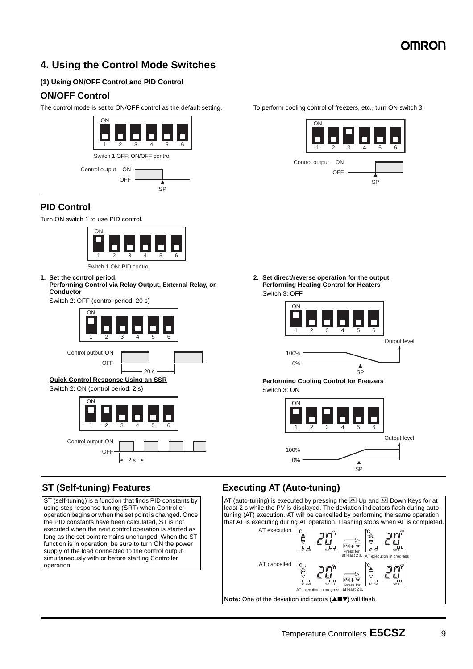## **4. Using the Control Mode Switches**

#### **(1) Using ON/OFF Control and PID Control**

#### **ON/OFF Control**

The control mode is set to ON/OFF control as the default setting. To perform cooling control of freezers, etc., turn ON switch 3.



### **PID Control**

Turn ON switch 1 to use PID control.



**1. Set the control period.**

**Performing Control via Relay Output, External Relay, or Conductor**

Switch 2: OFF (control period: 20 s)





#### **Quick Control Response Using an SSR**

Switch 2: ON (control period: 2 s)



2 s

#### **ST (Self-tuning) Features**

ST (self-tuning) is a function that finds PID constants by using step response tuning (SRT) when Controller operation begins or when the set point is changed. Once the PID constants have been calculated, ST is not executed when the next control operation is started as long as the set point remains unchanged. When the ST function is in operation, be sure to turn ON the power supply of the load connected to the control output simultaneously with or before starting Controller operation.



**2. Set direct/reverse operation for the output. Performing Heating Control for Heaters** Switch 3: OFF

| ON   | 2 | $\mathbf{I}$<br>3 | <b>The Contract</b> | 5 | հ |              |
|------|---|-------------------|---------------------|---|---|--------------|
|      |   |                   |                     |   |   | Output level |
| 100% |   |                   |                     |   |   |              |
| 0%   |   |                   |                     |   |   |              |

SP

**Performing Cooling Control for Freezers** Switch 3: ON

> ON 1 2 3 4 5 6 Output level 100% 0% 7 SP

### **Executing AT (Auto-tuning)**

AT (auto-tuning) is executed by pressing the  $\triangle$  Up and  $\triangle$  Down Keys for at least 2 s while the PV is displayed. The deviation indicators flash during autotuning (AT) execution. AT will be cancelled by performing the same operation that AT is executing during AT operation. Flashing stops when AT is completed. AT execution ירו ד ê  $\overline{\mathbb{R}}$  +  $\overline{\mathbb{W}}$ Press for at least 2 s. AT execution in progress AT cancelledיר ד Ő WO<br/> ě  $\overline{\triangleright}$  +  $\overline{\triangleright}$ Press for AT execution in progress at least 2 s. **Note:** One of the deviation indicators (▲■▼) will flash.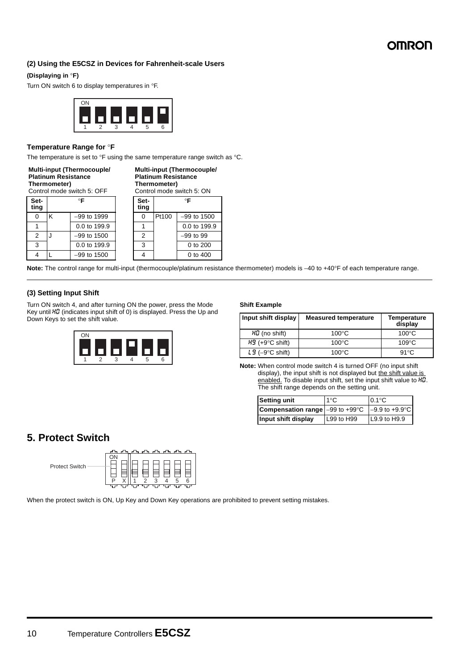#### **(2) Using the E5CSZ in Devices for Fahrenheit-scale Users**

#### **(Displaying in** °**F)**

Turn ON switch 6 to display temperatures in °F.



#### **Temperature Range for** °**F**

The temperature is set to °F using the same temperature range switch as °C.

| <b>Multi-input (Thermocouple/</b> |  |
|-----------------------------------|--|
| <b>Platinum Resistance</b>        |  |
| Thermometer)                      |  |
| Control mode switch 5: OFF        |  |

**Multi-input (Thermocouple/ Platinum Resistance Thermometer)**

| Set-<br>ting |   | °F            | Set-<br>ting |       | $\circ$ F     |
|--------------|---|---------------|--------------|-------|---------------|
|              |   | -99 to 1999   |              | Pt100 | $-99$ to 1500 |
|              |   | 0.0 to 199.9  |              |       | 0.0 to 199.9  |
| 2            | J | $-99$ to 1500 | 2            |       | $-99$ to $99$ |
| 3            |   | 0.0 to 199.9  | 3            |       | 0 to 200      |
|              |   | $-99$ to 1500 |              |       | 0 to 400      |

| Control mode switch 5: ON |       |                 |  |  |  |
|---------------------------|-------|-----------------|--|--|--|
| Set-<br>ting              | °F    |                 |  |  |  |
| 0                         | Pt100 | $-99$ to 1500   |  |  |  |
|                           |       | 0.0 to 199.9    |  |  |  |
| 2                         |       | $-99$ to $99$   |  |  |  |
| 3                         |       | $0$ to $200$    |  |  |  |
|                           |       | <u>n ta 100</u> |  |  |  |

**Note:** The control range for multi-input (thermocouple/platinum resistance thermometer) models is −40 to +40°F of each temperature range.

#### **(3) Setting Input Shift**

Turn ON switch 4, and after turning ON the power, press the Mode Key until H<sub>0</sub> (indicates input shift of 0) is displayed. Press the Up and Down Keys to set the shift value.



#### **Shift Example**

| Input shift display          | <b>Measured temperature</b> | <b>Temperature</b><br>display |
|------------------------------|-----------------------------|-------------------------------|
| $H\mathcal{G}$ (no shift)    | $100^{\circ}$ C             | $100^{\circ}$ C               |
| $H_3$ (+9 $\degree$ C shift) | $100^{\circ}$ C             | $109^{\circ}$ C               |
| $L9 (-9$ °C shift)           | 100 $\degree$ C             | $91^{\circ}$ C                |

**Note:** When control mode switch 4 is turned OFF (no input shift display), the input shift is not displayed but the shift value is enabled. To disable input shift, set the input shift value to HD. The shift range depends on the setting unit.

| Setting unit                                       | 1°C        | $0.1^{\circ}$ C            |  |  |  |
|----------------------------------------------------|------------|----------------------------|--|--|--|
| <b>Compensation range</b> $-99$ to $+99^{\circ}$ C |            | $-9.9$ to $+9.9^{\circ}$ C |  |  |  |
| Input shift display                                | L99 to H99 | L9.9 to H9.9               |  |  |  |

### **5. Protect Switch**



When the protect switch is ON, Up Key and Down Key operations are prohibited to prevent setting mistakes.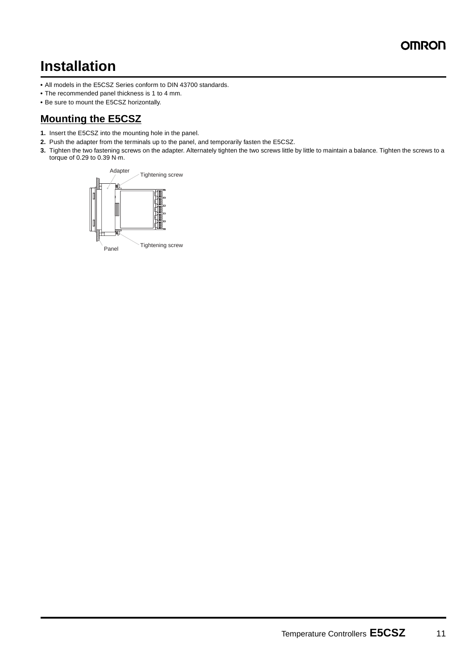# **Installation**

- **•** All models in the E5CSZ Series conform to DIN 43700 standards.
- **•** The recommended panel thickness is 1 to 4 mm.
- **•** Be sure to mount the E5CSZ horizontally.

### **Mounting the E5CSZ**

- **1.** Insert the E5CSZ into the mounting hole in the panel.
- **2.** Push the adapter from the terminals up to the panel, and temporarily fasten the E5CSZ.
- **3.** Tighten the two fastening screws on the adapter. Alternately tighten the two screws little by little to maintain a balance. Tighten the screws to a torque of 0.29 to 0.39 N·m.

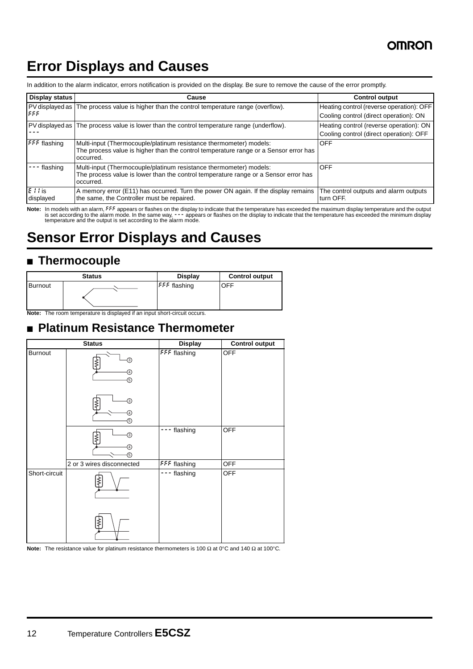# **Error Displays and Causes**

| Display status        | Cause                                                                                                                                                                   | <b>Control output</b>                              |  |  |  |  |
|-----------------------|-------------------------------------------------------------------------------------------------------------------------------------------------------------------------|----------------------------------------------------|--|--|--|--|
|                       | PV displayed as The process value is higher than the control temperature range (overflow).                                                                              | Heating control (reverse operation): OFF           |  |  |  |  |
| ۱۶۶۶                  |                                                                                                                                                                         | Cooling control (direct operation): ON             |  |  |  |  |
|                       | PV displayed as The process value is lower than the control temperature range (underflow).                                                                              | Heating control (reverse operation): ON            |  |  |  |  |
|                       |                                                                                                                                                                         | Cooling control (direct operation): OFF            |  |  |  |  |
| <b>FFF</b> flashing   | Multi-input (Thermocouple/platinum resistance thermometer) models:<br>The process value is higher than the control temperature range or a Sensor error has<br>occurred. | <b>OFF</b>                                         |  |  |  |  |
| flashing              | Multi-input (Thermocouple/platinum resistance thermometer) models:<br>The process value is lower than the control temperature range or a Sensor error has<br>occurred.  | <b>OFF</b>                                         |  |  |  |  |
| $E11$ is<br>displayed | A memory error (E11) has occurred. Turn the power ON again. If the display remains<br>the same, the Controller must be repaired.                                        | The control outputs and alarm outputs<br>turn OFF. |  |  |  |  |

In addition to the alarm indicator, errors notification is provided on the display. Be sure to remove the cause of the error promptly.

Note: In models with an alarm, FFF appears or flashes on the display to indicate that the temperature has exceeded the maximum display temperature and the output<br>is set according to the same way, - - appears or flashes on

# **Sensor Error Displays and Causes**

# ■ **Thermocouple**

|                | <b>Status</b> | <b>Display</b>      | <b>Control output</b> |  |  |
|----------------|---------------|---------------------|-----------------------|--|--|
| <b>Burnout</b> |               | <b>FFF</b> flashing | OFF                   |  |  |

**Note:** The room temperature is displayed if an input short-circuit occurs.

# ■ **Platinum Resistance Thermometer**

| <b>Status</b>             | <b>Display</b> | <b>Control output</b> |  |  |
|---------------------------|----------------|-----------------------|--|--|
| ③<br>④<br>5)<br>③         | FFF flashing   | <b>OFF</b>            |  |  |
| ⑤                         |                |                       |  |  |
| ⊚<br>G)<br>⑤              | flashing       | <b>OFF</b>            |  |  |
| 2 or 3 wires disconnected |                | <b>OFF</b>            |  |  |
| ≹                         | flashing       | <b>OFF</b>            |  |  |
|                           | $^{(4)}$       | FFF flashing          |  |  |

**Note:** The resistance value for platinum resistance thermometers is 100 Ω at 0°C and 140 Ω at 100°C.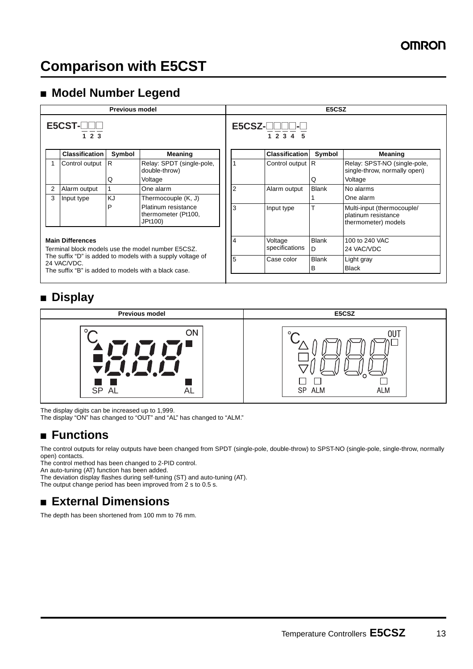## ■ **Model Number Legend**

|                                                                                                                                   |                         | <b>Previous model</b> |                                                       |  | E5CSZ |                                                  |              |                                                                          |  |  |  |
|-----------------------------------------------------------------------------------------------------------------------------------|-------------------------|-----------------------|-------------------------------------------------------|--|-------|--------------------------------------------------|--------------|--------------------------------------------------------------------------|--|--|--|
|                                                                                                                                   | $E5CST$ - $\Box$<br>123 |                       |                                                       |  |       | $E5CSZ$ - $\Box$ $\Box$ $\Box$ - $\bot$<br>12345 |              |                                                                          |  |  |  |
|                                                                                                                                   | <b>Classification</b>   | Symbol                | Meaning                                               |  |       | <b>Classification</b>                            | Symbol       | Meaning                                                                  |  |  |  |
|                                                                                                                                   | Control output R        | Q                     | Relay: SPDT (single-pole,<br>double-throw)<br>Voltage |  |       | Control output R                                 | Q            | Relay: SPST-NO (single-pole,<br>single-throw, normally open)<br>Voltage  |  |  |  |
| 2                                                                                                                                 | Alarm output            |                       | One alarm                                             |  |       | Alarm output                                     | <b>Blank</b> | No alarms                                                                |  |  |  |
| 3                                                                                                                                 | Input type              | KJ                    | Thermocouple (K, J)                                   |  |       |                                                  |              | One alarm                                                                |  |  |  |
|                                                                                                                                   |                         | P                     | Platinum resistance<br>thermometer (Pt100,<br>JPt100) |  | 3     | Input type                                       | т            | Multi-input (thermocouple/<br>platinum resistance<br>thermometer) models |  |  |  |
| <b>Main Differences</b><br>Terminal block models use the model number E5CSZ.                                                      |                         |                       |                                                       |  | 4     | Voltage<br>specifications                        | Blank<br>D   | 100 to 240 VAC<br>24 VAC/VDC                                             |  |  |  |
| The suffix "D" is added to models with a supply voltage of<br>24 VAC/VDC.<br>The suffix "B" is added to models with a black case. |                         |                       |                                                       |  | 5     | Case color                                       | Blank<br>B   | Light gray<br><b>Black</b>                                               |  |  |  |

# ■ **Display**



The display digits can be increased up to 1,999.

The display "ON" has changed to "OUT" and "AL" has changed to "ALM."

# ■ **Functions**

The control outputs for relay outputs have been changed from SPDT (single-pole, double-throw) to SPST-NO (single-pole, single-throw, normally open) contacts.

The control method has been changed to 2-PID control.

An auto-tuning (AT) function has been added.

The deviation display flashes during self-tuning (ST) and auto-tuning (AT).

The output change period has been improved from 2 s to 0.5 s.

# ■ **External Dimensions**

The depth has been shortened from 100 mm to 76 mm.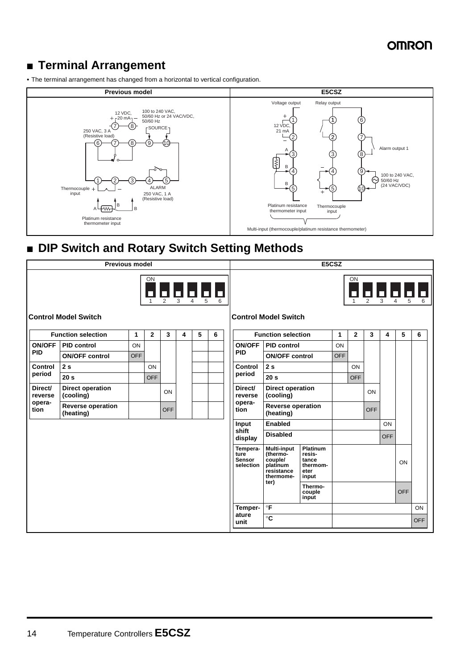# ■ **Terminal Arrangement**

**•** The terminal arrangement has changed from a horizontal to vertical configuration.



# ■ **DIP Switch and Rotary Switch Setting Methods**

| <b>Previous model</b>                                                                                                                                                                                                                                                                                                                                                                                                                    |                                       |            |              |            |   | E5CSZ |   |                                         |                                                                                                                                                     |                            |            |              |            |            |                                                                                                                                                                                                                                                                                                                                                                                                     |                  |
|------------------------------------------------------------------------------------------------------------------------------------------------------------------------------------------------------------------------------------------------------------------------------------------------------------------------------------------------------------------------------------------------------------------------------------------|---------------------------------------|------------|--------------|------------|---|-------|---|-----------------------------------------|-----------------------------------------------------------------------------------------------------------------------------------------------------|----------------------------|------------|--------------|------------|------------|-----------------------------------------------------------------------------------------------------------------------------------------------------------------------------------------------------------------------------------------------------------------------------------------------------------------------------------------------------------------------------------------------------|------------------|
| ON<br>$\begin{array}{ c c c c c c c c } \hline \rule{0pt}{1ex} \rule{0pt}{1ex} \rule{0pt}{1ex} \rule{0pt}{1ex} \rule{0pt}{1ex} \rule{0pt}{1ex} \rule{0pt}{1ex} \rule{0pt}{1ex} \rule{0pt}{1ex} \rule{0pt}{1ex} \rule{0pt}{1ex} \rule{0pt}{1ex} \rule{0pt}{1ex} \rule{0pt}{1ex} \rule{0pt}{1ex} \rule{0pt}{1ex} \rule{0pt}{1ex} \rule{0pt}{1ex} \rule{0pt}{1ex} \rule{0pt}{1ex} \rule{0pt}{1ex} \rule{0pt$<br><b>Control Model Switch</b> |                                       |            |              |            |   |       |   | <b>Control Model Switch</b>             |                                                                                                                                                     |                            | ON         |              |            |            | $\begin{array}{ c c c c c c c c } \hline \rule{0pt}{1ex} \rule{0pt}{2ex} \rule{0pt}{2ex} \rule{0pt}{2ex} \rule{0pt}{2ex} \rule{0pt}{2ex} \rule{0pt}{2ex} \rule{0pt}{2ex} \rule{0pt}{2ex} \rule{0pt}{2ex} \rule{0pt}{2ex} \rule{0pt}{2ex} \rule{0pt}{2ex} \rule{0pt}{2ex} \rule{0pt}{2ex} \rule{0pt}{2ex} \rule{0pt}{2ex} \rule{0pt}{2ex} \rule{0pt}{2ex} \rule{0pt}{2ex} \rule{0pt}{2ex} \rule{0pt$ |                  |
|                                                                                                                                                                                                                                                                                                                                                                                                                                          | <b>Function selection</b>             | 1          | $\mathbf{2}$ | 3          | 4 | 5     | 6 |                                         | <b>Function selection</b>                                                                                                                           |                            | 1          | $\mathbf{2}$ | 3          | 4          | 5                                                                                                                                                                                                                                                                                                                                                                                                   | 6                |
| <b>ON/OFF</b>                                                                                                                                                                                                                                                                                                                                                                                                                            | <b>PID control</b>                    | ON         |              |            |   |       |   | <b>ON/OFF</b>                           | <b>PID control</b>                                                                                                                                  |                            | ON         |              |            |            |                                                                                                                                                                                                                                                                                                                                                                                                     |                  |
| <b>PID</b>                                                                                                                                                                                                                                                                                                                                                                                                                               | <b>ON/OFF control</b>                 | <b>OFF</b> |              |            |   |       |   | <b>PID</b>                              | <b>ON/OFF control</b>                                                                                                                               |                            | <b>OFF</b> |              |            |            |                                                                                                                                                                                                                                                                                                                                                                                                     |                  |
| Control<br>period                                                                                                                                                                                                                                                                                                                                                                                                                        | 2s                                    |            | ON           |            |   |       |   | Control<br>period                       | 2s                                                                                                                                                  |                            |            | ON           |            |            |                                                                                                                                                                                                                                                                                                                                                                                                     |                  |
|                                                                                                                                                                                                                                                                                                                                                                                                                                          | 20 <sub>s</sub>                       |            | <b>OFF</b>   |            |   |       |   |                                         | 20 <sub>s</sub>                                                                                                                                     |                            |            | <b>OFF</b>   |            |            |                                                                                                                                                                                                                                                                                                                                                                                                     |                  |
| Direct/<br>reverse                                                                                                                                                                                                                                                                                                                                                                                                                       | <b>Direct operation</b><br>(cooling)  |            |              | ON         |   |       |   | Direct/<br>reverse                      | <b>Direct operation</b><br>(cooling)                                                                                                                |                            |            |              | ON         |            |                                                                                                                                                                                                                                                                                                                                                                                                     |                  |
| opera-<br>tion                                                                                                                                                                                                                                                                                                                                                                                                                           | <b>Reverse operation</b><br>(heating) |            |              | <b>OFF</b> |   |       |   | opera-<br>tion                          | <b>Reverse operation</b><br>(heating)                                                                                                               |                            |            |              | <b>OFF</b> |            |                                                                                                                                                                                                                                                                                                                                                                                                     |                  |
|                                                                                                                                                                                                                                                                                                                                                                                                                                          |                                       |            |              |            |   |       |   | Input                                   | <b>Enabled</b>                                                                                                                                      |                            |            |              |            | ON         |                                                                                                                                                                                                                                                                                                                                                                                                     |                  |
|                                                                                                                                                                                                                                                                                                                                                                                                                                          |                                       |            |              |            |   |       |   | shift<br>display                        | <b>Disabled</b>                                                                                                                                     |                            |            |              |            | <b>OFF</b> |                                                                                                                                                                                                                                                                                                                                                                                                     |                  |
|                                                                                                                                                                                                                                                                                                                                                                                                                                          |                                       |            |              |            |   |       |   | Tempera-<br>ture<br>Sensor<br>selection | <b>Multi-input</b><br><b>Platinum</b><br>resis-<br>(thermo-<br>couple/<br>tance<br>platinum<br>thermom-<br>resistance<br>eter<br>thermome-<br>input |                            |            |              |            |            | ON                                                                                                                                                                                                                                                                                                                                                                                                  |                  |
|                                                                                                                                                                                                                                                                                                                                                                                                                                          |                                       |            |              |            |   |       |   |                                         | ter)                                                                                                                                                | Thermo-<br>couple<br>input |            |              |            |            | <b>OFF</b>                                                                                                                                                                                                                                                                                                                                                                                          |                  |
|                                                                                                                                                                                                                                                                                                                                                                                                                                          |                                       |            |              |            |   |       |   | Temper-<br>ature<br>unit                | $\circ$ F<br>$\circ$ C                                                                                                                              |                            |            |              |            |            |                                                                                                                                                                                                                                                                                                                                                                                                     | ON<br><b>OFF</b> |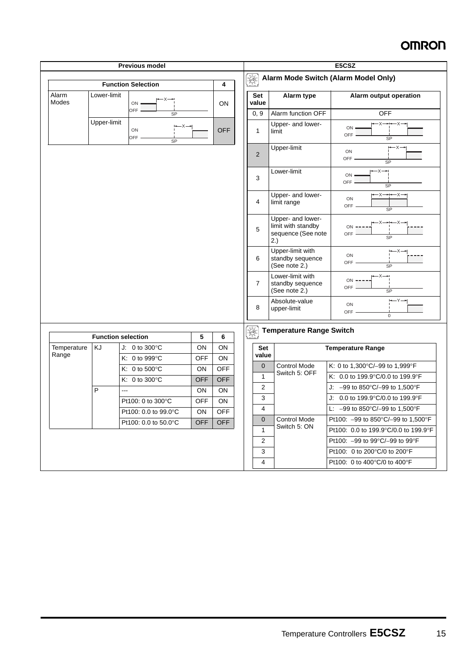|                      |                                                  | <b>Previous model</b>             |                  |                          | E5CSZ                                                         |                                                                      |                                         |  |  |  |
|----------------------|--------------------------------------------------|-----------------------------------|------------------|--------------------------|---------------------------------------------------------------|----------------------------------------------------------------------|-----------------------------------------|--|--|--|
|                      |                                                  | <b>Function Selection</b>         |                  | 4                        | $\bigotimes_{\alpha} \bigotimes_{\alpha} \mathbb{Z}^{\alpha}$ | Alarm Mode Switch (Alarm Model Only)                                 |                                         |  |  |  |
| Alarm<br>Modes       | Lower-limit                                      | -x—⊷<br>ON                        |                  | ON                       | <b>Set</b><br>value                                           | Alarm type                                                           | Alarm output operation                  |  |  |  |
|                      |                                                  | <b>OFF</b><br>SP                  |                  |                          | 0, 9                                                          | Alarm function OFF                                                   | <b>OFF</b>                              |  |  |  |
|                      | Upper-limit                                      | <b>OFF</b><br>ON<br>OFF-<br>SP    |                  | 1                        | Upper- and lower-<br>limit                                    | $-X \rightarrow X$<br>ON -<br>OFF.<br>SP                             |                                         |  |  |  |
|                      |                                                  |                                   |                  |                          | $\overline{2}$                                                | Upper-limit                                                          | ⊶×-<br>ON<br>OFF<br>SP                  |  |  |  |
|                      |                                                  |                                   |                  |                          | 3                                                             | Lower-limit                                                          | $-x-$<br>ON :<br>OFF<br>SP              |  |  |  |
|                      |                                                  |                                   |                  |                          | 4                                                             | Upper- and lower-<br>limit range                                     | $-X \rightarrow X-X$<br>ON<br>OFF<br>SP |  |  |  |
|                      |                                                  |                                   |                  |                          | 5                                                             | Upper- and lower-<br>limit with standby<br>sequence (See note<br>2.) | ON<br>OFF<br><b>SP</b>                  |  |  |  |
|                      |                                                  |                                   |                  |                          | 6                                                             | Upper-limit with<br>standby sequence<br>(See note 2.)                | l—X-<br>ON<br>OFF<br>SP                 |  |  |  |
|                      |                                                  |                                   |                  |                          | $\overline{7}$                                                | Lower-limit with<br>standby sequence<br>(See note 2.)                | $-x$ -<br>ON<br><b>OFF</b><br>SP        |  |  |  |
|                      |                                                  |                                   |                  |                          | 8                                                             | Absolute-value<br>upper-limit                                        | ON<br>OFF-<br>$\mathbf 0$               |  |  |  |
|                      | <b>Function selection</b>                        |                                   | 5                | 6                        | $[\mathscr{A}]$                                               | <b>Temperature Range Switch</b>                                      |                                         |  |  |  |
| Temperature<br>Range | KJ                                               | J: 0 to 300 $\degree$ C           | ON               | ON                       | Set<br>value                                                  |                                                                      | <b>Temperature Range</b>                |  |  |  |
|                      |                                                  | K: $0$ to 999 $\degree$ C         | <b>OFF</b>       | ON                       | $\mathbf{0}$                                                  | <b>Control Mode</b>                                                  | K: 0 to 1,300°C/-99 to 1,999°F          |  |  |  |
|                      |                                                  | K: 0 to $500^{\circ}$ C           | ON               | <b>OFF</b><br><b>OFF</b> | $\mathbf{1}$                                                  | Switch 5: OFF                                                        | K: 0.0 to 199.9°C/0.0 to 199.9°F        |  |  |  |
|                      | P                                                | K: $0$ to 300 $^{\circ}$ C<br>--- | <b>OFF</b><br>ON | ON                       | $\overline{2}$                                                |                                                                      | J: $-99$ to 850°C/-99 to 1,500°F        |  |  |  |
|                      |                                                  | Pt100: 0 to 300°C                 | <b>OFF</b>       | ON                       | 3                                                             |                                                                      | J: 0.0 to 199.9°C/0.0 to 199.9°F        |  |  |  |
|                      |                                                  | Pt100: 0.0 to 99.0°C              | ON               | <b>OFF</b>               | 4                                                             |                                                                      | L: $-99$ to 850°C/-99 to 1,500°F        |  |  |  |
|                      | Pt100: 0.0 to 50.0°C<br><b>OFF</b><br><b>OFF</b> |                                   | $\mathbf{0}$     | <b>Control Mode</b>      | Pt100: -99 to 850°C/-99 to 1,500°F                            |                                                                      |                                         |  |  |  |
|                      |                                                  |                                   |                  |                          | $\mathbf{1}$                                                  | Switch 5: ON                                                         | Pt100: 0.0 to 199.9°C/0.0 to 199.9°F    |  |  |  |
|                      |                                                  |                                   |                  |                          | 2                                                             |                                                                      | Pt100: -99 to 99°C/-99 to 99°F          |  |  |  |
|                      |                                                  |                                   |                  |                          | 3                                                             |                                                                      | Pt100: 0 to 200°C/0 to 200°F            |  |  |  |
|                      |                                                  |                                   |                  |                          | $\overline{4}$                                                |                                                                      | Pt100: 0 to 400°C/0 to 400°F            |  |  |  |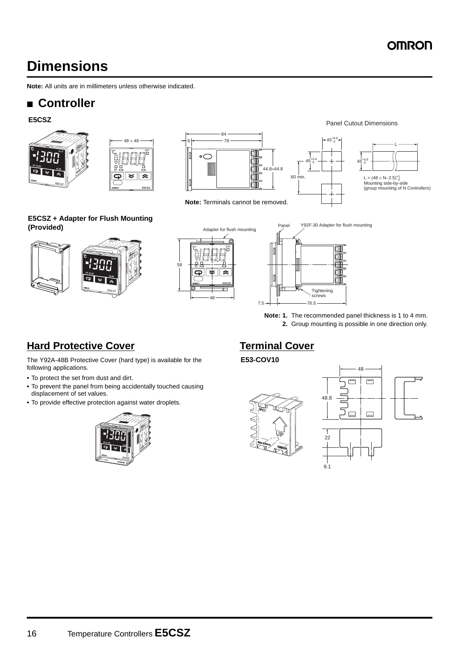# **Dimensions**

**Note:** All units are in millimeters unless otherwise indicated.

# ■ **Controller**

#### **E5CSZ**







**Note:** Terminals cannot be removed.



45+0.6 0



#### **E5CSZ + Adapter for Flush Mounting (Provided)**







**Note: 1.** The recommended panel thickness is 1 to 4 mm. **2.** Group mounting is possible in one direction only.

# **Hard Protective Cover**

The Y92A-48B Protective Cover (hard type) is available for the following applications.

- **•** To protect the set from dust and dirt.
- **•** To prevent the panel from being accidentally touched causing displacement of set values.
- **•** To provide effective protection against water droplets.



# **Terminal Cover**

#### **E53-COV10**



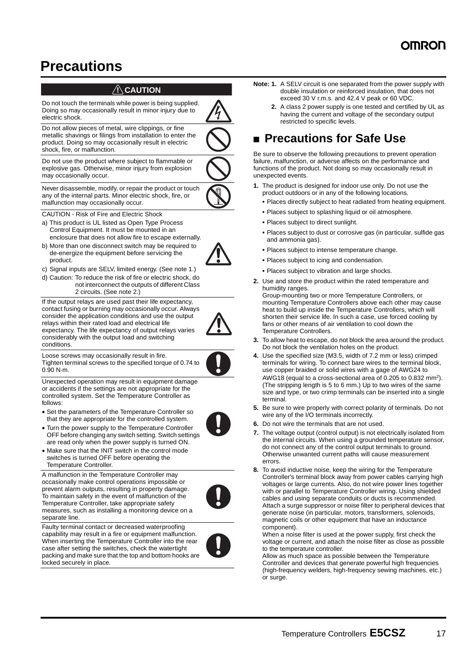# **Precautions**

#### $\bigwedge$ CAUTION

Do not touch the terminals while power is being supplied. Doing so may occasionally result in minor injury due to electric shock.

Do not allow pieces of metal, wire clippings, or fine metallic shavings or filings from installation to enter the product. Doing so may occasionally result in electric shock, fire, or malfunction.

Do not use the product where subject to flammable or explosive gas. Otherwise, minor injury from explosion may occasionally occur.



Never disassemble, modify, or repair the product or touch any of the internal parts. Minor electric shock, fire, or malfunction may occasionally occur.

CAUTION - Risk of Fire and Electric Shock

- a) This product is UL listed as Open Type Process Control Equipment. It must be mounted in an enclosure that does not allow fire to escape externally.
- b) More than one disconnect switch may be required to de-energize the equipment before servicing the product.
- c) Signal inputs are SELV, limited energy. (See note 1.)
- d) Caution: To reduce the risk of fire or electric shock, do not interconnect the outputs of different Class 2 circuits. (See note 2.)

If the output relays are used past their life expectancy, contact fusing or burning may occasionally occur. Always consider the application conditions and use the output relays within their rated load and electrical life expectancy. The life expectancy of output relays varies considerably with the output load and switching conditions.

Loose screws may occasionally result in fire. Tighten terminal screws to the specified torque of 0.74 to 0.90 N·m.



Unexpected operation may result in equipment damage or accidents if the settings are not appropriate for the controlled system. Set the Temperature Controller as follows:

• Set the parameters of the Temperature Controller so that they are appropriate for the controlled system.



• Make sure that the INIT switch in the control mode switches is turned OFF before operating the Temperature Controller.

A malfunction in the Temperature Controller may occasionally make control operations impossible or prevent alarm outputs, resulting in property damage. To maintain safety in the event of malfunction of the Temperature Controller, take appropriate safety measures, such as installing a monitoring device on a separate line.



Faulty terminal contact or decreased waterproofing capability may result in a fire or equipment malfunction. When inserting the Temperature Controller into the rear case after setting the switches, check the watertight packing and make sure that the top and bottom hooks are locked securely in place.



- **Note: 1.** A SELV circuit is one separated from the power supply with double insulation or reinforced insulation, that does not exceed 30 V r.m.s. and 42.4 V peak or 60 VDC.
	- **2.** A class 2 power supply is one tested and certified by UL as having the current and voltage of the secondary output restricted to specific levels.

# ■ **Precautions for Safe Use**

Be sure to observe the following precautions to prevent operation failure, malfunction, or adverse affects on the performance and functions of the product. Not doing so may occasionally result in unexpected events.

- **1.** The product is designed for indoor use only. Do not use the product outdoors or in any of the following locations.
	- **•** Places directly subject to heat radiated from heating equipment.
	- **•** Places subject to splashing liquid or oil atmosphere.
	- **•** Places subject to direct sunlight.
	- **•** Places subject to dust or corrosive gas (in particular, sulfide gas and ammonia gas).
	- **•** Places subject to intense temperature change.
	- **•** Places subject to icing and condensation.
	- **•** Places subject to vibration and large shocks.
- **2.** Use and store the product within the rated temperature and humidity ranges.

Group-mounting two or more Temperature Controllers, or mounting Temperature Controllers above each other may cause heat to build up inside the Temperature Controllers, which will shorten their service life. In such a case, use forced cooling by fans or other means of air ventilation to cool down the Temperature Controllers.

- **3.** To allow heat to escape, do not block the area around the product. Do not block the ventilation holes on the product.
- **4.** Use the specified size (M3.5, width of 7.2 mm or less) crimped terminals for wiring. To connect bare wires to the terminal block, use copper braided or solid wires with a gage of AWG24 to AWG18 (equal to a cross-sectional area of 0.205 to 0.832 mm<sup>2</sup>). (The stripping length is 5 to 6 mm.) Up to two wires of the same size and type, or two crimp terminals can be inserted into a single terminal.
- **5.** Be sure to wire properly with correct polarity of terminals. Do not wire any of the I/O terminals incorrectly.
- **6.** Do not wire the terminals that are not used.
- **7.** The voltage output (control output) is not electrically isolated from the internal circuits. When using a grounded temperature sensor, do not connect any of the control output terminals to ground. Otherwise unwanted current paths will cause measurement errors.
- **8.** To avoid inductive noise, keep the wiring for the Temperature Controller's terminal block away from power cables carrying high voltages or large currents. Also, do not wire power lines together with or parallel to Temperature Controller wiring. Using shielded cables and using separate conduits or ducts is recommended. Attach a surge suppressor or noise filter to peripheral devices that generate noise (in particular, motors, transformers, solenoids, magnetic coils or other equipment that have an inductance component).

When a noise filter is used at the power supply, first check the voltage or current, and attach the noise filter as close as possible to the temperature controller.

Allow as much space as possible between the Temperature Controller and devices that generate powerful high frequencies (high-frequency welders, high-frequency sewing machines, etc.) or surge.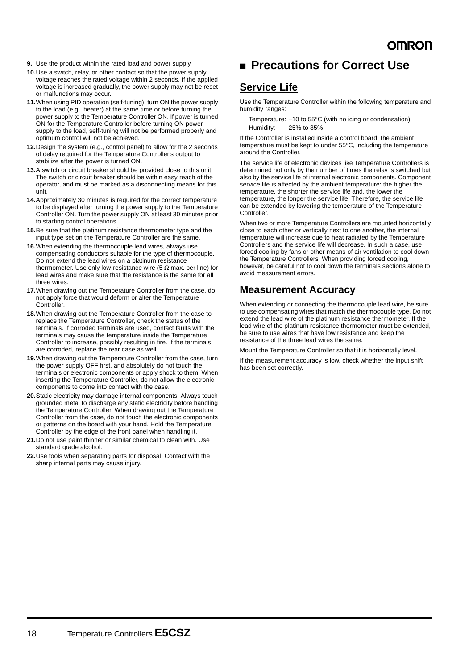- **9.** Use the product within the rated load and power supply.
- **10.**Use a switch, relay, or other contact so that the power supply voltage reaches the rated voltage within 2 seconds. If the applied voltage is increased gradually, the power supply may not be reset or malfunctions may occur.
- **11.**When using PID operation (self-tuning), turn ON the power supply to the load (e.g., heater) at the same time or before turning the power supply to the Temperature Controller ON. If power is turned ON for the Temperature Controller before turning ON power supply to the load, self-tuning will not be performed properly and optimum control will not be achieved.
- **12.**Design the system (e.g., control panel) to allow for the 2 seconds of delay required for the Temperature Controller's output to stabilize after the power is turned ON.
- **13.**A switch or circuit breaker should be provided close to this unit. The switch or circuit breaker should be within easy reach of the operator, and must be marked as a disconnecting means for this unit.
- **14.**Approximately 30 minutes is required for the correct temperature to be displayed after turning the power supply to the Temperature Controller ON. Turn the power supply ON at least 30 minutes prior to starting control operations.
- **15.**Be sure that the platinum resistance thermometer type and the input type set on the Temperature Controller are the same.
- **16.**When extending the thermocouple lead wires, always use compensating conductors suitable for the type of thermocouple. Do not extend the lead wires on a platinum resistance thermometer. Use only low-resistance wire (5  $\Omega$  max. per line) for lead wires and make sure that the resistance is the same for all three wires.
- **17.**When drawing out the Temperature Controller from the case, do not apply force that would deform or alter the Temperature **Controller**
- **18.**When drawing out the Temperature Controller from the case to replace the Temperature Controller, check the status of the terminals. If corroded terminals are used, contact faults with the terminals may cause the temperature inside the Temperature Controller to increase, possibly resulting in fire. If the terminals are corroded, replace the rear case as well.
- **19.**When drawing out the Temperature Controller from the case, turn the power supply OFF first, and absolutely do not touch the terminals or electronic components or apply shock to them. When inserting the Temperature Controller, do not allow the electronic components to come into contact with the case.
- **20.**Static electricity may damage internal components. Always touch grounded metal to discharge any static electricity before handling the Temperature Controller. When drawing out the Temperature Controller from the case, do not touch the electronic components or patterns on the board with your hand. Hold the Temperature Controller by the edge of the front panel when handling it.
- **21.**Do not use paint thinner or similar chemical to clean with. Use standard grade alcohol.
- **22.**Use tools when separating parts for disposal. Contact with the sharp internal parts may cause injury.

### ■ **Precautions for Correct Use**

### **Service Life**

Use the Temperature Controller within the following temperature and humidity ranges:

Temperature: −10 to 55°C (with no icing or condensation) Humidity: 25% to 85%

If the Controller is installed inside a control board, the ambient temperature must be kept to under 55°C, including the temperature around the Controller.

The service life of electronic devices like Temperature Controllers is determined not only by the number of times the relay is switched but also by the service life of internal electronic components. Component service life is affected by the ambient temperature: the higher the temperature, the shorter the service life and, the lower the temperature, the longer the service life. Therefore, the service life can be extended by lowering the temperature of the Temperature **Controller** 

When two or more Temperature Controllers are mounted horizontally close to each other or vertically next to one another, the internal temperature will increase due to heat radiated by the Temperature Controllers and the service life will decrease. In such a case, use forced cooling by fans or other means of air ventilation to cool down the Temperature Controllers. When providing forced cooling, however, be careful not to cool down the terminals sections alone to avoid measurement errors.

### **Measurement Accuracy**

When extending or connecting the thermocouple lead wire, be sure to use compensating wires that match the thermocouple type. Do not extend the lead wire of the platinum resistance thermometer. If the lead wire of the platinum resistance thermometer must be extended, be sure to use wires that have low resistance and keep the resistance of the three lead wires the same.

Mount the Temperature Controller so that it is horizontally level.

If the measurement accuracy is low, check whether the input shift has been set correctly.